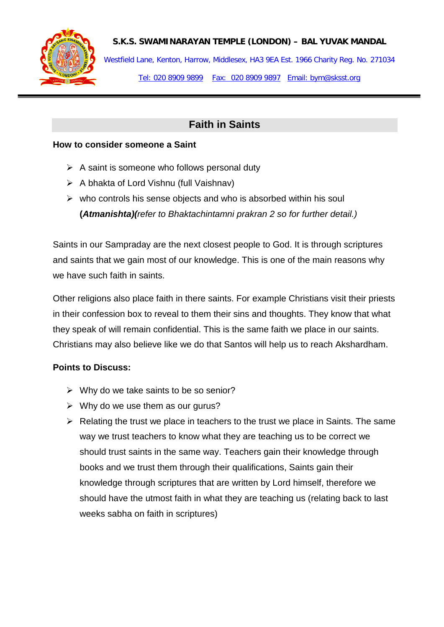

## **S.K.S. SWAMINARAYAN TEMPLE (LONDON) – BAL YUVAK MANDAL**

Westfield Lane, Kenton, Harrow, Middlesex, HA3 9EA Est. 1966 Charity Reg. No. 271034 Tel: 020 8909 9899 Fax: 020 8909 9897 Email: bym@sksst.org

# **Faith in Saints**

## **How to consider someone a Saint**

- $\triangleright$  A saint is someone who follows personal duty
- $\triangleright$  A bhakta of Lord Vishnu (full Vaishnav)
- $\triangleright$  who controls his sense objects and who is absorbed within his soul **(***Atmanishta)(refer to Bhaktachintamni prakran 2 so for further detail.)*

Saints in our Sampraday are the next closest people to God. It is through scriptures and saints that we gain most of our knowledge. This is one of the main reasons why we have such faith in saints.

Other religions also place faith in there saints. For example Christians visit their priests in their confession box to reveal to them their sins and thoughts. They know that what they speak of will remain confidential. This is the same faith we place in our saints. Christians may also believe like we do that Santos will help us to reach Akshardham.

# **Points to Discuss:**

- $\triangleright$  Why do we take saints to be so senior?
- $\triangleright$  Why do we use them as our gurus?
- $\triangleright$  Relating the trust we place in teachers to the trust we place in Saints. The same way we trust teachers to know what they are teaching us to be correct we should trust saints in the same way. Teachers gain their knowledge through books and we trust them through their qualifications, Saints gain their knowledge through scriptures that are written by Lord himself, therefore we should have the utmost faith in what they are teaching us (relating back to last weeks sabha on faith in scriptures)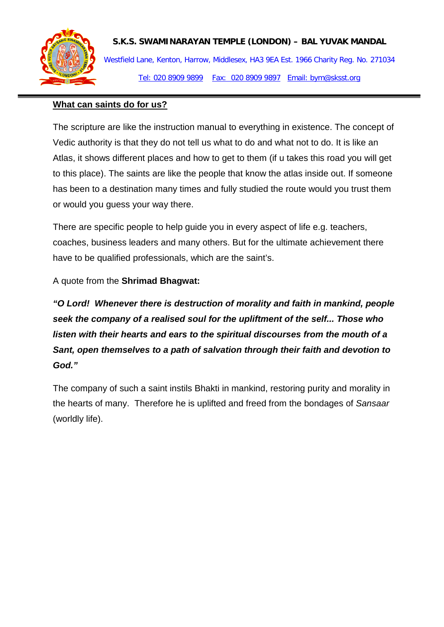

# **S.K.S. SWAMINARAYAN TEMPLE (LONDON) – BAL YUVAK MANDAL**

Westfield Lane, Kenton, Harrow, Middlesex, HA3 9EA Est. 1966 Charity Reg. No. 271034 Tel: 020 8909 9899 Fax: 020 8909 9897 Email: bym@sksst.org

## **What can saints do for us?**

The scripture are like the instruction manual to everything in existence. The concept of Vedic authority is that they do not tell us what to do and what not to do. It is like an Atlas, it shows different places and how to get to them (if u takes this road you will get to this place). The saints are like the people that know the atlas inside out. If someone has been to a destination many times and fully studied the route would you trust them or would you guess your way there.

There are specific people to help guide you in every aspect of life e.g. teachers, coaches, business leaders and many others. But for the ultimate achievement there have to be qualified professionals, which are the saint's.

A quote from the **Shrimad Bhagwat:**

*"O Lord! Whenever there is destruction of morality and faith in mankind, people seek the company of a realised soul for the upliftment of the self... Those who listen with their hearts and ears to the spiritual discourses from the mouth of a Sant, open themselves to a path of salvation through their faith and devotion to God."*

The company of such a saint instils Bhakti in mankind, restoring purity and morality in the hearts of many. Therefore he is uplifted and freed from the bondages of *Sansaar* (worldly life).